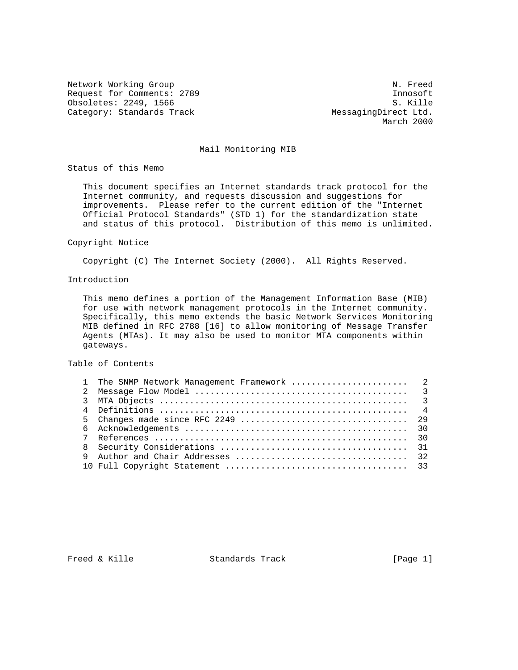Network Working Group Network Working Group Request for Comments: 2789<br>
Obsoletes: 2249, 1566<br>
S. Kille Obsoletes: 2249, 1566 Category: Standards Track MessagingDirect Ltd.

March 2000

### Mail Monitoring MIB

Status of this Memo

 This document specifies an Internet standards track protocol for the Internet community, and requests discussion and suggestions for improvements. Please refer to the current edition of the "Internet Official Protocol Standards" (STD 1) for the standardization state and status of this protocol. Distribution of this memo is unlimited.

#### Copyright Notice

Copyright (C) The Internet Society (2000). All Rights Reserved.

#### Introduction

 This memo defines a portion of the Management Information Base (MIB) for use with network management protocols in the Internet community. Specifically, this memo extends the basic Network Services Monitoring MIB defined in RFC 2788 [16] to allow monitoring of Message Transfer Agents (MTAs). It may also be used to monitor MTA components within gateways.

#### Table of Contents

| 1 The SNMP Network Management Framework  2 |  |
|--------------------------------------------|--|
|                                            |  |
|                                            |  |
|                                            |  |
|                                            |  |
|                                            |  |
|                                            |  |
|                                            |  |
|                                            |  |
|                                            |  |

Freed & Kille  $S$  Standards Track [Page 1]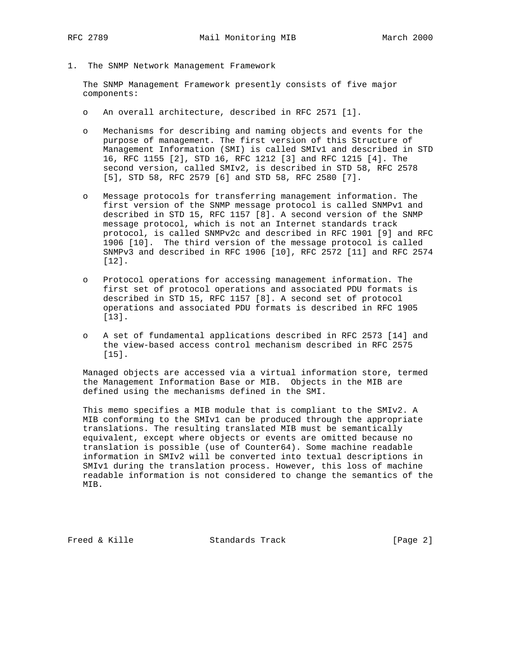- 
- 1. The SNMP Network Management Framework

 The SNMP Management Framework presently consists of five major components:

- o An overall architecture, described in RFC 2571 [1].
- o Mechanisms for describing and naming objects and events for the purpose of management. The first version of this Structure of Management Information (SMI) is called SMIv1 and described in STD 16, RFC 1155 [2], STD 16, RFC 1212 [3] and RFC 1215 [4]. The second version, called SMIv2, is described in STD 58, RFC 2578 [5], STD 58, RFC 2579 [6] and STD 58, RFC 2580 [7].
- o Message protocols for transferring management information. The first version of the SNMP message protocol is called SNMPv1 and described in STD 15, RFC 1157 [8]. A second version of the SNMP message protocol, which is not an Internet standards track protocol, is called SNMPv2c and described in RFC 1901 [9] and RFC 1906 [10]. The third version of the message protocol is called SNMPv3 and described in RFC 1906 [10], RFC 2572 [11] and RFC 2574 [12].
- o Protocol operations for accessing management information. The first set of protocol operations and associated PDU formats is described in STD 15, RFC 1157 [8]. A second set of protocol operations and associated PDU formats is described in RFC 1905 [13].
- o A set of fundamental applications described in RFC 2573 [14] and the view-based access control mechanism described in RFC 2575 [15].

 Managed objects are accessed via a virtual information store, termed the Management Information Base or MIB. Objects in the MIB are defined using the mechanisms defined in the SMI.

 This memo specifies a MIB module that is compliant to the SMIv2. A MIB conforming to the SMIv1 can be produced through the appropriate translations. The resulting translated MIB must be semantically equivalent, except where objects or events are omitted because no translation is possible (use of Counter64). Some machine readable information in SMIv2 will be converted into textual descriptions in SMIv1 during the translation process. However, this loss of machine readable information is not considered to change the semantics of the MIB.

Freed & Kille Standards Track [Page 2]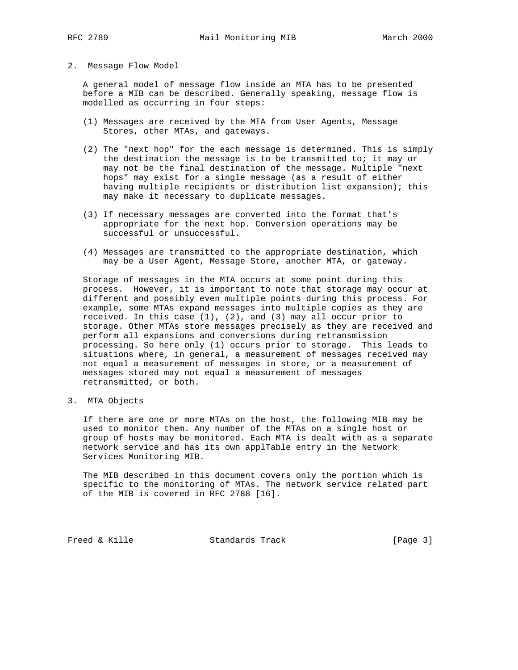#### 2. Message Flow Model

 A general model of message flow inside an MTA has to be presented before a MIB can be described. Generally speaking, message flow is modelled as occurring in four steps:

- (1) Messages are received by the MTA from User Agents, Message Stores, other MTAs, and gateways.
- (2) The "next hop" for the each message is determined. This is simply the destination the message is to be transmitted to; it may or may not be the final destination of the message. Multiple "next hops" may exist for a single message (as a result of either having multiple recipients or distribution list expansion); this may make it necessary to duplicate messages.
- (3) If necessary messages are converted into the format that's appropriate for the next hop. Conversion operations may be successful or unsuccessful.
- (4) Messages are transmitted to the appropriate destination, which may be a User Agent, Message Store, another MTA, or gateway.

 Storage of messages in the MTA occurs at some point during this process. However, it is important to note that storage may occur at different and possibly even multiple points during this process. For example, some MTAs expand messages into multiple copies as they are received. In this case (1), (2), and (3) may all occur prior to storage. Other MTAs store messages precisely as they are received and perform all expansions and conversions during retransmission processing. So here only (1) occurs prior to storage. This leads to situations where, in general, a measurement of messages received may not equal a measurement of messages in store, or a measurement of messages stored may not equal a measurement of messages retransmitted, or both.

3. MTA Objects

 If there are one or more MTAs on the host, the following MIB may be used to monitor them. Any number of the MTAs on a single host or group of hosts may be monitored. Each MTA is dealt with as a separate network service and has its own applTable entry in the Network Services Monitoring MIB.

 The MIB described in this document covers only the portion which is specific to the monitoring of MTAs. The network service related part of the MIB is covered in RFC 2788 [16].

Freed & Kille Standards Track [Page 3]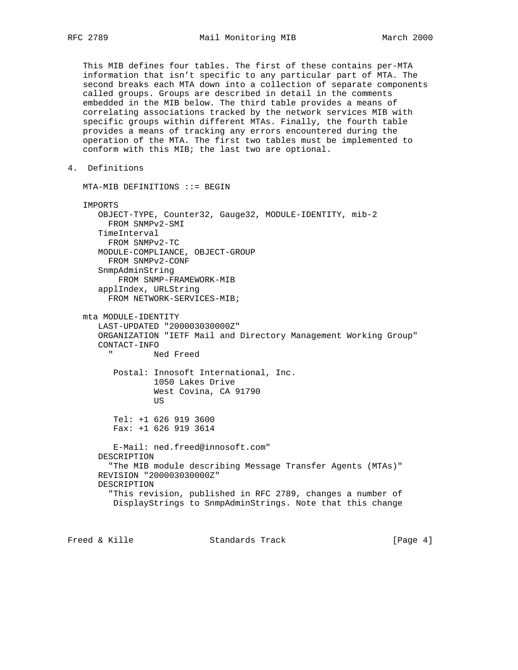This MIB defines four tables. The first of these contains per-MTA information that isn't specific to any particular part of MTA. The second breaks each MTA down into a collection of separate components called groups. Groups are described in detail in the comments embedded in the MIB below. The third table provides a means of correlating associations tracked by the network services MIB with specific groups within different MTAs. Finally, the fourth table provides a means of tracking any errors encountered during the operation of the MTA. The first two tables must be implemented to conform with this MIB; the last two are optional.

4. Definitions

 MTA-MIB DEFINITIONS ::= BEGIN IMPORTS OBJECT-TYPE, Counter32, Gauge32, MODULE-IDENTITY, mib-2 FROM SNMPv2-SMI TimeInterval FROM SNMPv2-TC MODULE-COMPLIANCE, OBJECT-GROUP FROM SNMPv2-CONF SnmpAdminString FROM SNMP-FRAMEWORK-MIB applIndex, URLString FROM NETWORK-SERVICES-MIB; mta MODULE-IDENTITY LAST-UPDATED "200003030000Z" ORGANIZATION "IETF Mail and Directory Management Working Group" CONTACT-INFO Ned Freed Postal: Innosoft International, Inc. 1050 Lakes Drive West Covina, CA 91790 **US** *US*  Tel: +1 626 919 3600 Fax: +1 626 919 3614 E-Mail: ned.freed@innosoft.com" DESCRIPTION "The MIB module describing Message Transfer Agents (MTAs)" REVISION "200003030000Z" DESCRIPTION "This revision, published in RFC 2789, changes a number of DisplayStrings to SnmpAdminStrings. Note that this change

Freed & Kille Standards Track [Page 4]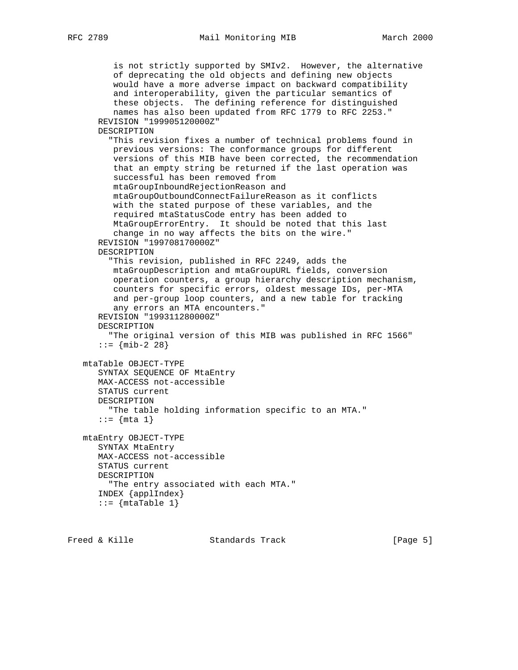# RFC 2789 Mail Monitoring MIB March 2000

 is not strictly supported by SMIv2. However, the alternative of deprecating the old objects and defining new objects would have a more adverse impact on backward compatibility and interoperability, given the particular semantics of these objects. The defining reference for distinguished names has also been updated from RFC 1779 to RFC 2253." REVISION "199905120000Z" DESCRIPTION "This revision fixes a number of technical problems found in previous versions: The conformance groups for different versions of this MIB have been corrected, the recommendation that an empty string be returned if the last operation was successful has been removed from mtaGroupInboundRejectionReason and mtaGroupOutboundConnectFailureReason as it conflicts with the stated purpose of these variables, and the required mtaStatusCode entry has been added to MtaGroupErrorEntry. It should be noted that this last change in no way affects the bits on the wire." REVISION "199708170000Z" DESCRIPTION "This revision, published in RFC 2249, adds the mtaGroupDescription and mtaGroupURL fields, conversion operation counters, a group hierarchy description mechanism, counters for specific errors, oldest message IDs, per-MTA and per-group loop counters, and a new table for tracking any errors an MTA encounters." REVISION "199311280000Z" DESCRIPTION "The original version of this MIB was published in RFC 1566"  $: := \{ \text{min-2} \; 28 \}$  mtaTable OBJECT-TYPE SYNTAX SEQUENCE OF MtaEntry MAX-ACCESS not-accessible STATUS current DESCRIPTION "The table holding information specific to an MTA." ::=  $\{ mta 1 \}$  mtaEntry OBJECT-TYPE SYNTAX MtaEntry MAX-ACCESS not-accessible STATUS current DESCRIPTION "The entry associated with each MTA." INDEX {applIndex}  $::=$  {mtaTable 1}

Freed & Kille Standards Track [Page 5]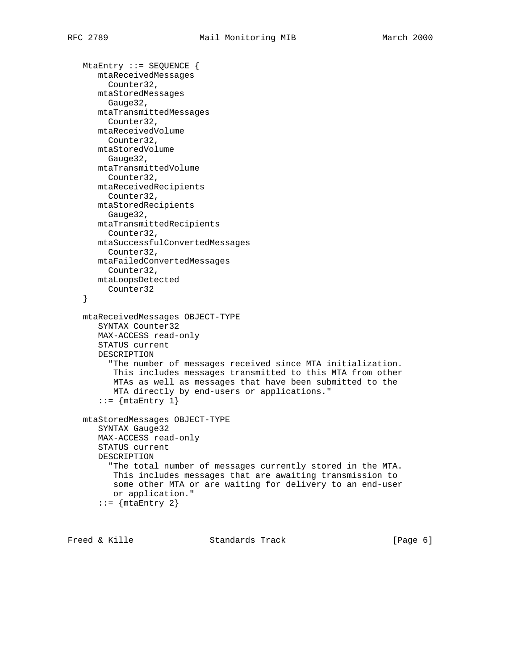```
 MtaEntry ::= SEQUENCE {
   mtaReceivedMessages
     Counter32,
    mtaStoredMessages
     Gauge32,
   mtaTransmittedMessages
    Counter32,
    mtaReceivedVolume
     Counter32,
   mtaStoredVolume
     Gauge32,
   mtaTransmittedVolume
     Counter32,
   mtaReceivedRecipients
     Counter32,
   mtaStoredRecipients
     Gauge32,
   mtaTransmittedRecipients
     Counter32,
    mtaSuccessfulConvertedMessages
     Counter32,
    mtaFailedConvertedMessages
     Counter32,
   mtaLoopsDetected
     Counter32
 }
 mtaReceivedMessages OBJECT-TYPE
   SYNTAX Counter32
    MAX-ACCESS read-only
    STATUS current
    DESCRIPTION
      "The number of messages received since MTA initialization.
      This includes messages transmitted to this MTA from other
       MTAs as well as messages that have been submitted to the
       MTA directly by end-users or applications."
   ::= {mtaEntry 1}
 mtaStoredMessages OBJECT-TYPE
    SYNTAX Gauge32
    MAX-ACCESS read-only
    STATUS current
    DESCRIPTION
      "The total number of messages currently stored in the MTA.
      This includes messages that are awaiting transmission to
       some other MTA or are waiting for delivery to an end-user
       or application."
   ::= {mtaEntry 2}
```
Freed & Kille **Standards Track** [Page 6]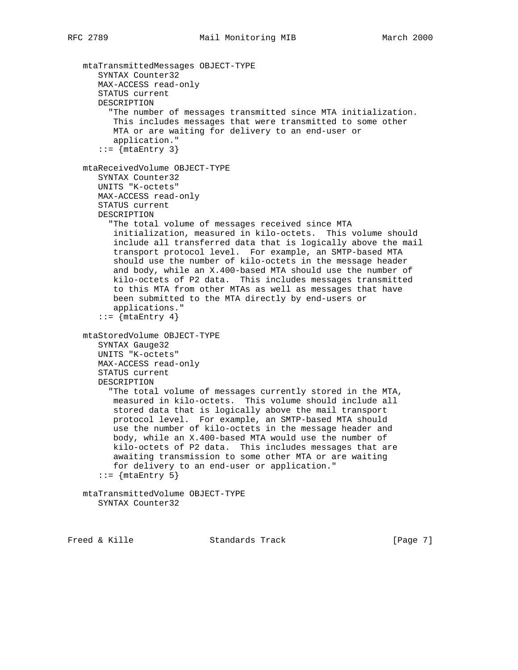```
 mtaTransmittedMessages OBJECT-TYPE
    SYNTAX Counter32
    MAX-ACCESS read-only
    STATUS current
    DESCRIPTION
      "The number of messages transmitted since MTA initialization.
       This includes messages that were transmitted to some other
       MTA or are waiting for delivery to an end-user or
       application."
   ::= {mtaEntry 3}
 mtaReceivedVolume OBJECT-TYPE
    SYNTAX Counter32
    UNITS "K-octets"
    MAX-ACCESS read-only
    STATUS current
    DESCRIPTION
      "The total volume of messages received since MTA
       initialization, measured in kilo-octets. This volume should
       include all transferred data that is logically above the mail
       transport protocol level. For example, an SMTP-based MTA
       should use the number of kilo-octets in the message header
       and body, while an X.400-based MTA should use the number of
       kilo-octets of P2 data. This includes messages transmitted
       to this MTA from other MTAs as well as messages that have
       been submitted to the MTA directly by end-users or
       applications."
   ::= {mtaEntry 4}
 mtaStoredVolume OBJECT-TYPE
   SYNTAX Gauge32
    UNITS "K-octets"
    MAX-ACCESS read-only
    STATUS current
    DESCRIPTION
      "The total volume of messages currently stored in the MTA,
       measured in kilo-octets. This volume should include all
       stored data that is logically above the mail transport
       protocol level. For example, an SMTP-based MTA should
       use the number of kilo-octets in the message header and
       body, while an X.400-based MTA would use the number of
       kilo-octets of P2 data. This includes messages that are
       awaiting transmission to some other MTA or are waiting
       for delivery to an end-user or application."
   ::= {mtaEntry 5}
 mtaTransmittedVolume OBJECT-TYPE
    SYNTAX Counter32
```
Freed & Kille **Standards Track** [Page 7]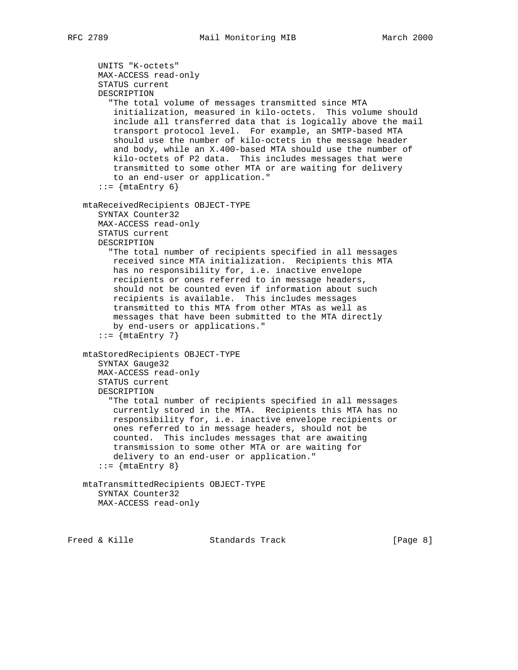```
 UNITS "K-octets"
    MAX-ACCESS read-only
    STATUS current
    DESCRIPTION
      "The total volume of messages transmitted since MTA
       initialization, measured in kilo-octets. This volume should
       include all transferred data that is logically above the mail
       transport protocol level. For example, an SMTP-based MTA
       should use the number of kilo-octets in the message header
       and body, while an X.400-based MTA should use the number of
       kilo-octets of P2 data. This includes messages that were
       transmitted to some other MTA or are waiting for delivery
       to an end-user or application."
    ::= \{ \text{mtaEntry } 6 \} mtaReceivedRecipients OBJECT-TYPE
    SYNTAX Counter32
    MAX-ACCESS read-only
    STATUS current
    DESCRIPTION
      "The total number of recipients specified in all messages
       received since MTA initialization. Recipients this MTA
       has no responsibility for, i.e. inactive envelope
       recipients or ones referred to in message headers,
       should not be counted even if information about such
       recipients is available. This includes messages
       transmitted to this MTA from other MTAs as well as
       messages that have been submitted to the MTA directly
       by end-users or applications."
   ::= {mtaEntry 7}
 mtaStoredRecipients OBJECT-TYPE
    SYNTAX Gauge32
    MAX-ACCESS read-only
    STATUS current
    DESCRIPTION
      "The total number of recipients specified in all messages
       currently stored in the MTA. Recipients this MTA has no
       responsibility for, i.e. inactive envelope recipients or
       ones referred to in message headers, should not be
       counted. This includes messages that are awaiting
       transmission to some other MTA or are waiting for
       delivery to an end-user or application."
    ::= \{ \text{mtaEntry } 8 \} mtaTransmittedRecipients OBJECT-TYPE
    SYNTAX Counter32
    MAX-ACCESS read-only
```
Freed & Kille Standards Track [Page 8]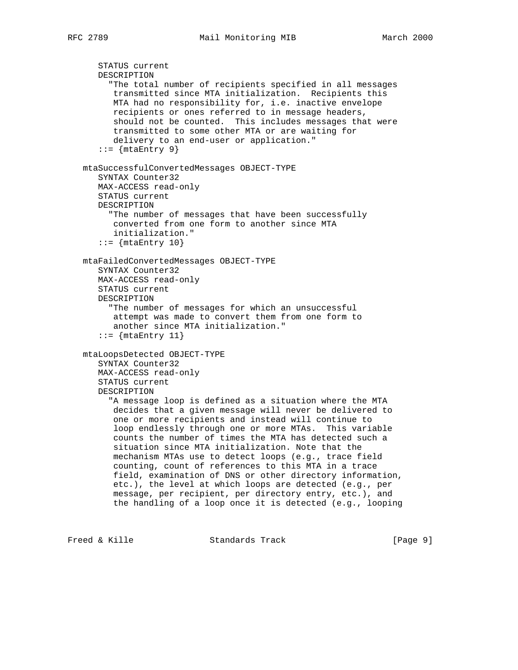```
 STATUS current
    DESCRIPTION
      "The total number of recipients specified in all messages
       transmitted since MTA initialization. Recipients this
       MTA had no responsibility for, i.e. inactive envelope
       recipients or ones referred to in message headers,
       should not be counted. This includes messages that were
       transmitted to some other MTA or are waiting for
       delivery to an end-user or application."
   ::= {mtaEntry 9}
 mtaSuccessfulConvertedMessages OBJECT-TYPE
    SYNTAX Counter32
    MAX-ACCESS read-only
    STATUS current
    DESCRIPTION
      "The number of messages that have been successfully
       converted from one form to another since MTA
       initialization."
   ::= {mtaEntry 10}
 mtaFailedConvertedMessages OBJECT-TYPE
    SYNTAX Counter32
    MAX-ACCESS read-only
    STATUS current
    DESCRIPTION
      "The number of messages for which an unsuccessful
       attempt was made to convert them from one form to
       another since MTA initialization."
   ::= {mtaEntry 11}
 mtaLoopsDetected OBJECT-TYPE
    SYNTAX Counter32
    MAX-ACCESS read-only
    STATUS current
    DESCRIPTION
      "A message loop is defined as a situation where the MTA
       decides that a given message will never be delivered to
       one or more recipients and instead will continue to
       loop endlessly through one or more MTAs. This variable
       counts the number of times the MTA has detected such a
       situation since MTA initialization. Note that the
       mechanism MTAs use to detect loops (e.g., trace field
       counting, count of references to this MTA in a trace
       field, examination of DNS or other directory information,
       etc.), the level at which loops are detected (e.g., per
       message, per recipient, per directory entry, etc.), and
       the handling of a loop once it is detected (e.g., looping
```
Freed & Kille Standards Track [Page 9]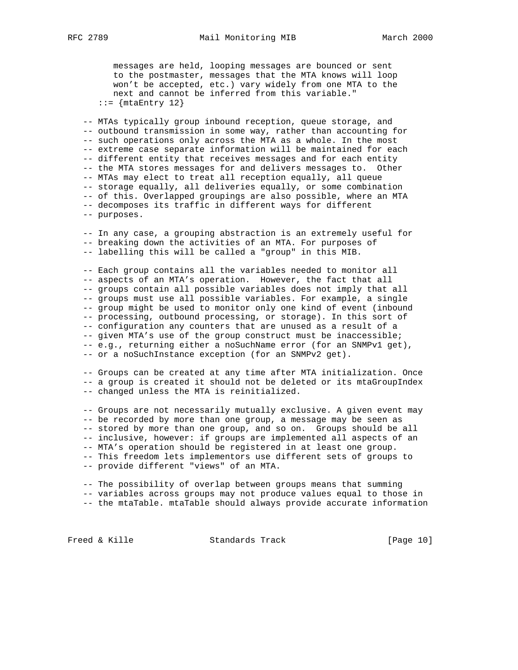messages are held, looping messages are bounced or sent to the postmaster, messages that the MTA knows will loop won't be accepted, etc.) vary widely from one MTA to the next and cannot be inferred from this variable."  $::=$  {mtaEntry 12}

 -- MTAs typically group inbound reception, queue storage, and -- outbound transmission in some way, rather than accounting for -- such operations only across the MTA as a whole. In the most -- extreme case separate information will be maintained for each -- different entity that receives messages and for each entity -- the MTA stores messages for and delivers messages to. Other -- MTAs may elect to treat all reception equally, all queue -- storage equally, all deliveries equally, or some combination -- of this. Overlapped groupings are also possible, where an MTA -- decomposes its traffic in different ways for different -- purposes.

 -- In any case, a grouping abstraction is an extremely useful for -- breaking down the activities of an MTA. For purposes of -- labelling this will be called a "group" in this MIB.

 -- Each group contains all the variables needed to monitor all -- aspects of an MTA's operation. However, the fact that all -- groups contain all possible variables does not imply that all -- groups must use all possible variables. For example, a single -- group might be used to monitor only one kind of event (inbound -- processing, outbound processing, or storage). In this sort of -- configuration any counters that are unused as a result of a -- given MTA's use of the group construct must be inaccessible; -- e.g., returning either a noSuchName error (for an SNMPv1 get), -- or a noSuchInstance exception (for an SNMPv2 get).

 -- Groups can be created at any time after MTA initialization. Once -- a group is created it should not be deleted or its mtaGroupIndex -- changed unless the MTA is reinitialized.

 -- Groups are not necessarily mutually exclusive. A given event may -- be recorded by more than one group, a message may be seen as -- stored by more than one group, and so on. Groups should be all -- inclusive, however: if groups are implemented all aspects of an -- MTA's operation should be registered in at least one group. -- This freedom lets implementors use different sets of groups to -- provide different "views" of an MTA.

 -- The possibility of overlap between groups means that summing -- variables across groups may not produce values equal to those in -- the mtaTable. mtaTable should always provide accurate information

Freed & Kille **Standards Track** [Page 10]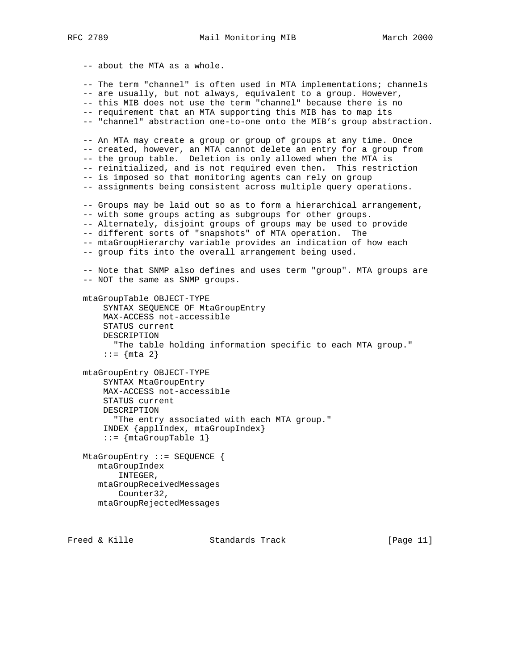-- about the MTA as a whole. -- The term "channel" is often used in MTA implementations; channels -- are usually, but not always, equivalent to a group. However, -- this MIB does not use the term "channel" because there is no -- requirement that an MTA supporting this MIB has to map its -- "channel" abstraction one-to-one onto the MIB's group abstraction. -- An MTA may create a group or group of groups at any time. Once -- created, however, an MTA cannot delete an entry for a group from -- the group table. Deletion is only allowed when the MTA is -- reinitialized, and is not required even then. This restriction -- is imposed so that monitoring agents can rely on group -- assignments being consistent across multiple query operations. -- Groups may be laid out so as to form a hierarchical arrangement, -- with some groups acting as subgroups for other groups. -- Alternately, disjoint groups of groups may be used to provide -- different sorts of "snapshots" of MTA operation. The -- mtaGroupHierarchy variable provides an indication of how each -- group fits into the overall arrangement being used. -- Note that SNMP also defines and uses term "group". MTA groups are -- NOT the same as SNMP groups. mtaGroupTable OBJECT-TYPE SYNTAX SEQUENCE OF MtaGroupEntry MAX-ACCESS not-accessible STATUS current DESCRIPTION "The table holding information specific to each MTA group."  $::= \{ mta \; 2 \}$  mtaGroupEntry OBJECT-TYPE SYNTAX MtaGroupEntry MAX-ACCESS not-accessible STATUS current DESCRIPTION "The entry associated with each MTA group." INDEX {applIndex, mtaGroupIndex}  $::=$  {mtaGroupTable 1} MtaGroupEntry ::= SEQUENCE { mtaGroupIndex INTEGER, mtaGroupReceivedMessages Counter32, mtaGroupRejectedMessages

Freed & Kille **Standards Track** [Page 11]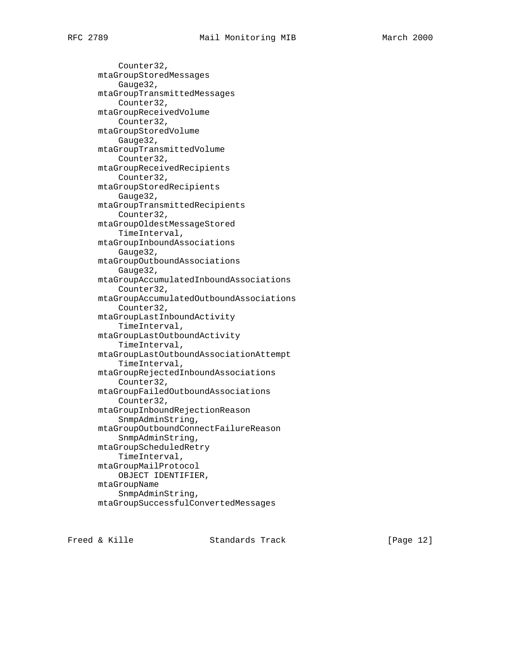Counter32, mtaGroupStoredMessages Gauge32, mtaGroupTransmittedMessages Counter32, mtaGroupReceivedVolume Counter32, mtaGroupStoredVolume Gauge32, mtaGroupTransmittedVolume Counter32, mtaGroupReceivedRecipients Counter32, mtaGroupStoredRecipients Gauge32, mtaGroupTransmittedRecipients Counter32, mtaGroupOldestMessageStored TimeInterval, mtaGroupInboundAssociations Gauge32, mtaGroupOutboundAssociations Gauge32, mtaGroupAccumulatedInboundAssociations Counter32, mtaGroupAccumulatedOutboundAssociations Counter32, mtaGroupLastInboundActivity TimeInterval, mtaGroupLastOutboundActivity TimeInterval, mtaGroupLastOutboundAssociationAttempt TimeInterval, mtaGroupRejectedInboundAssociations Counter32, mtaGroupFailedOutboundAssociations Counter32, mtaGroupInboundRejectionReason SnmpAdminString, mtaGroupOutboundConnectFailureReason SnmpAdminString, mtaGroupScheduledRetry TimeInterval, mtaGroupMailProtocol OBJECT IDENTIFIER, mtaGroupName SnmpAdminString, mtaGroupSuccessfulConvertedMessages

Freed & Kille Standards Track [Page 12]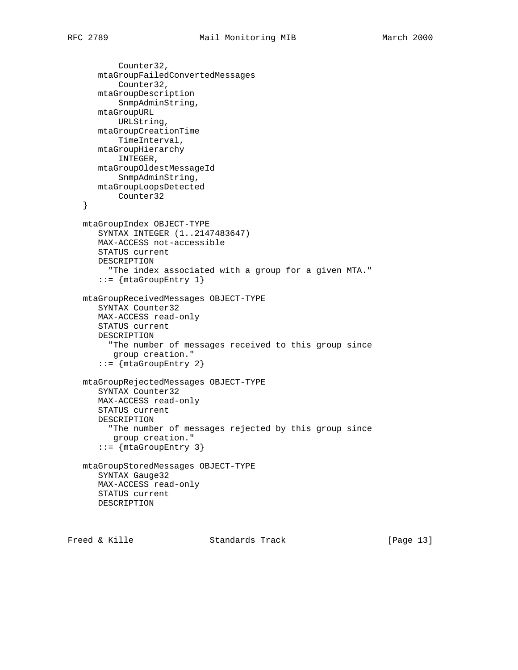```
 Counter32,
    mtaGroupFailedConvertedMessages
        Counter32,
    mtaGroupDescription
        SnmpAdminString,
    mtaGroupURL
        URLString,
    mtaGroupCreationTime
        TimeInterval,
    mtaGroupHierarchy
        INTEGER,
    mtaGroupOldestMessageId
       SnmpAdminString,
    mtaGroupLoopsDetected
       Counter32
 }
 mtaGroupIndex OBJECT-TYPE
    SYNTAX INTEGER (1..2147483647)
    MAX-ACCESS not-accessible
    STATUS current
    DESCRIPTION
      "The index associated with a group for a given MTA."
    ::= {mtaGroupEntry 1}
 mtaGroupReceivedMessages OBJECT-TYPE
    SYNTAX Counter32
    MAX-ACCESS read-only
    STATUS current
    DESCRIPTION
      "The number of messages received to this group since
      group creation."
   ::= {mtaGroupEntry 2}
 mtaGroupRejectedMessages OBJECT-TYPE
    SYNTAX Counter32
    MAX-ACCESS read-only
    STATUS current
    DESCRIPTION
      "The number of messages rejected by this group since
       group creation."
    ::= {mtaGroupEntry 3}
 mtaGroupStoredMessages OBJECT-TYPE
    SYNTAX Gauge32
    MAX-ACCESS read-only
    STATUS current
    DESCRIPTION
```
Freed & Kille Standards Track [Page 13]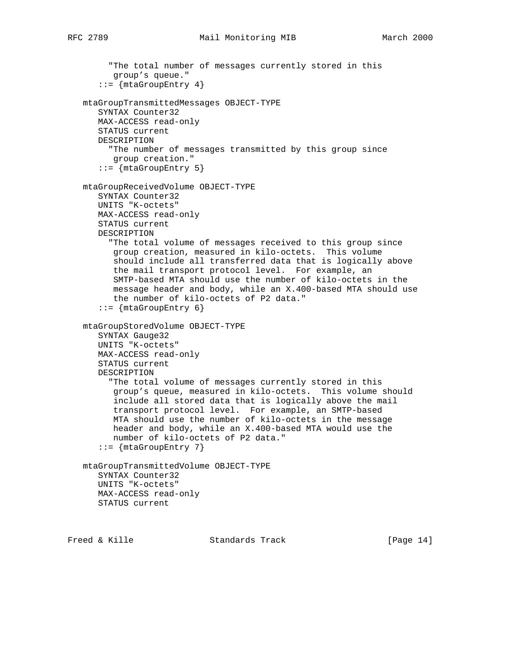```
 "The total number of messages currently stored in this
       group's queue."
    ::= {mtaGroupEntry 4}
 mtaGroupTransmittedMessages OBJECT-TYPE
    SYNTAX Counter32
    MAX-ACCESS read-only
    STATUS current
    DESCRIPTION
      "The number of messages transmitted by this group since
      group creation."
    ::= {mtaGroupEntry 5}
 mtaGroupReceivedVolume OBJECT-TYPE
    SYNTAX Counter32
    UNITS "K-octets"
    MAX-ACCESS read-only
    STATUS current
    DESCRIPTION
      "The total volume of messages received to this group since
       group creation, measured in kilo-octets. This volume
       should include all transferred data that is logically above
       the mail transport protocol level. For example, an
       SMTP-based MTA should use the number of kilo-octets in the
       message header and body, while an X.400-based MTA should use
       the number of kilo-octets of P2 data."
   ::= {mtaGroupEntry 6}
 mtaGroupStoredVolume OBJECT-TYPE
    SYNTAX Gauge32
    UNITS "K-octets"
    MAX-ACCESS read-only
    STATUS current
    DESCRIPTION
      "The total volume of messages currently stored in this
       group's queue, measured in kilo-octets. This volume should
       include all stored data that is logically above the mail
       transport protocol level. For example, an SMTP-based
       MTA should use the number of kilo-octets in the message
       header and body, while an X.400-based MTA would use the
       number of kilo-octets of P2 data."
   ::= {mtaGroupEntry 7}
 mtaGroupTransmittedVolume OBJECT-TYPE
    SYNTAX Counter32
    UNITS "K-octets"
   MAX-ACCESS read-only
    STATUS current
```
Freed & Kille Standards Track [Page 14]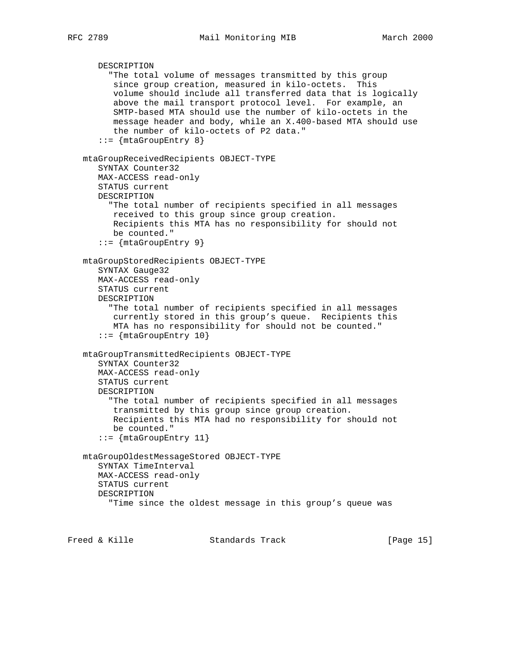```
 DESCRIPTION
      "The total volume of messages transmitted by this group
       since group creation, measured in kilo-octets. This
       volume should include all transferred data that is logically
       above the mail transport protocol level. For example, an
       SMTP-based MTA should use the number of kilo-octets in the
       message header and body, while an X.400-based MTA should use
      the number of kilo-octets of P2 data."
   ::= \{ mtaGroupEntry 8\} mtaGroupReceivedRecipients OBJECT-TYPE
    SYNTAX Counter32
   MAX-ACCESS read-only
    STATUS current
    DESCRIPTION
      "The total number of recipients specified in all messages
       received to this group since group creation.
       Recipients this MTA has no responsibility for should not
      be counted."
    ::= {mtaGroupEntry 9}
 mtaGroupStoredRecipients OBJECT-TYPE
    SYNTAX Gauge32
   MAX-ACCESS read-only
   STATUS current
   DESCRIPTION
      "The total number of recipients specified in all messages
       currently stored in this group's queue. Recipients this
       MTA has no responsibility for should not be counted."
    ::= {mtaGroupEntry 10}
 mtaGroupTransmittedRecipients OBJECT-TYPE
    SYNTAX Counter32
   MAX-ACCESS read-only
    STATUS current
   DESCRIPTION
      "The total number of recipients specified in all messages
       transmitted by this group since group creation.
       Recipients this MTA had no responsibility for should not
       be counted."
    ::= {mtaGroupEntry 11}
 mtaGroupOldestMessageStored OBJECT-TYPE
    SYNTAX TimeInterval
    MAX-ACCESS read-only
    STATUS current
   DESCRIPTION
      "Time since the oldest message in this group's queue was
```
Freed & Kille Standards Track [Page 15]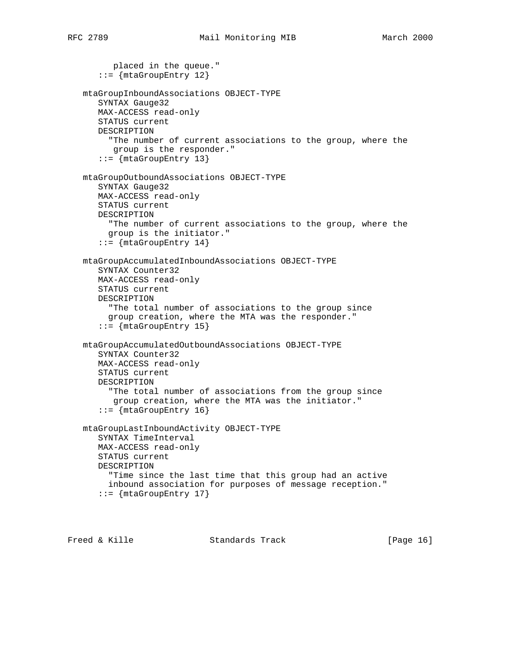```
 placed in the queue."
    ::= {mtaGroupEntry 12}
 mtaGroupInboundAssociations OBJECT-TYPE
    SYNTAX Gauge32
    MAX-ACCESS read-only
    STATUS current
    DESCRIPTION
      "The number of current associations to the group, where the
      group is the responder."
    ::= {mtaGroupEntry 13}
 mtaGroupOutboundAssociations OBJECT-TYPE
    SYNTAX Gauge32
    MAX-ACCESS read-only
    STATUS current
    DESCRIPTION
      "The number of current associations to the group, where the
      group is the initiator."
   ::= \{mtaGroupEntry 14\} mtaGroupAccumulatedInboundAssociations OBJECT-TYPE
    SYNTAX Counter32
    MAX-ACCESS read-only
    STATUS current
    DESCRIPTION
      "The total number of associations to the group since
      group creation, where the MTA was the responder."
    ::= {mtaGroupEntry 15}
 mtaGroupAccumulatedOutboundAssociations OBJECT-TYPE
    SYNTAX Counter32
    MAX-ACCESS read-only
    STATUS current
    DESCRIPTION
      "The total number of associations from the group since
       group creation, where the MTA was the initiator."
    ::= {mtaGroupEntry 16}
 mtaGroupLastInboundActivity OBJECT-TYPE
    SYNTAX TimeInterval
    MAX-ACCESS read-only
    STATUS current
    DESCRIPTION
      "Time since the last time that this group had an active
      inbound association for purposes of message reception."
   ::= \{mtaGroupEntry 17\}
```
Freed & Kille **Standards Track** [Page 16]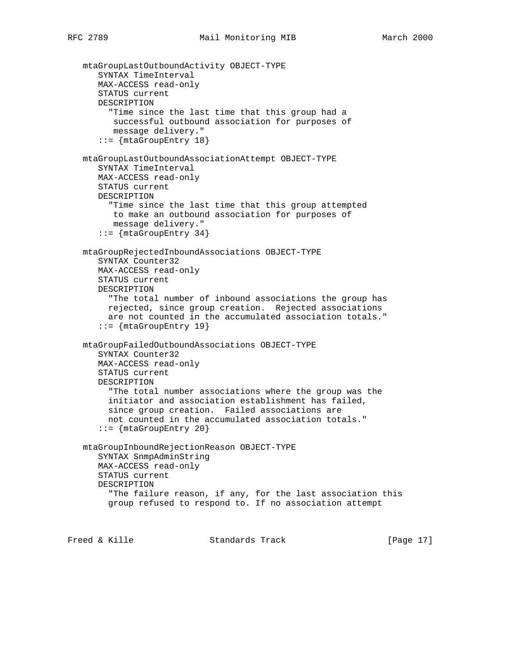```
 mtaGroupLastOutboundActivity OBJECT-TYPE
       SYNTAX TimeInterval
      MAX-ACCESS read-only
       STATUS current
      DESCRIPTION
         "Time since the last time that this group had a
         successful outbound association for purposes of
         message delivery."
       ::= {mtaGroupEntry 18}
   mtaGroupLastOutboundAssociationAttempt OBJECT-TYPE
       SYNTAX TimeInterval
      MAX-ACCESS read-only
       STATUS current
      DESCRIPTION
         "Time since the last time that this group attempted
         to make an outbound association for purposes of
          message delivery."
       ::= {mtaGroupEntry 34}
   mtaGroupRejectedInboundAssociations OBJECT-TYPE
       SYNTAX Counter32
      MAX-ACCESS read-only
      STATUS current
      DESCRIPTION
         "The total number of inbound associations the group has
         rejected, since group creation. Rejected associations
         are not counted in the accumulated association totals."
       ::= {mtaGroupEntry 19}
   mtaGroupFailedOutboundAssociations OBJECT-TYPE
       SYNTAX Counter32
      MAX-ACCESS read-only
       STATUS current
      DESCRIPTION
         "The total number associations where the group was the
         initiator and association establishment has failed,
         since group creation. Failed associations are
         not counted in the accumulated association totals."
       ::= {mtaGroupEntry 20}
   mtaGroupInboundRejectionReason OBJECT-TYPE
       SYNTAX SnmpAdminString
      MAX-ACCESS read-only
      STATUS current
       DESCRIPTION
         "The failure reason, if any, for the last association this
         group refused to respond to. If no association attempt
Freed & Kille                 Standards Track                 [Page 17]
```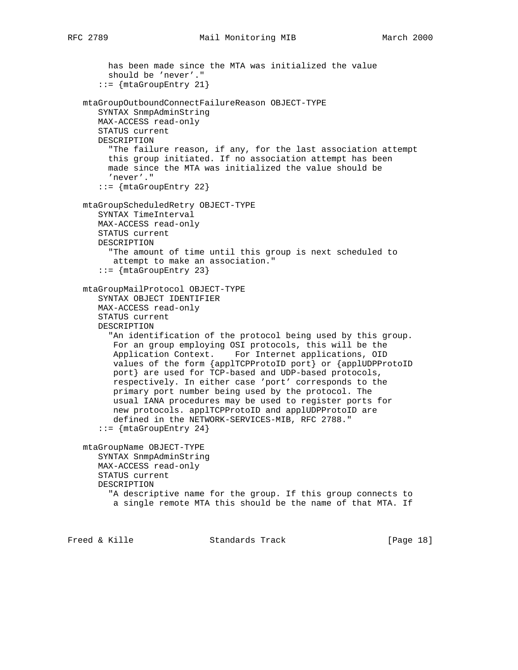has been made since the MTA was initialized the value

```
RFC 2789 Mail Monitoring MIB March 2000
```
 should be 'never'." ::= {mtaGroupEntry 21} mtaGroupOutboundConnectFailureReason OBJECT-TYPE SYNTAX SnmpAdminString MAX-ACCESS read-only STATUS current DESCRIPTION "The failure reason, if any, for the last association attempt this group initiated. If no association attempt has been made since the MTA was initialized the value should be 'never'."  $::=$   $\{$ mtaGroupEntry 22 $\}$  mtaGroupScheduledRetry OBJECT-TYPE SYNTAX TimeInterval MAX-ACCESS read-only STATUS current DESCRIPTION "The amount of time until this group is next scheduled to attempt to make an association."  $::=$   $\{$ mtaGroupEntry 23 $\}$  mtaGroupMailProtocol OBJECT-TYPE SYNTAX OBJECT IDENTIFIER MAX-ACCESS read-only STATUS current DESCRIPTION "An identification of the protocol being used by this group. For an group employing OSI protocols, this will be the Application Context. For Internet applications, OID values of the form {applTCPProtoID port} or {applUDPProtoID port} are used for TCP-based and UDP-based protocols, respectively. In either case 'port' corresponds to the primary port number being used by the protocol. The usual IANA procedures may be used to register ports for new protocols. applTCPProtoID and applUDPProtoID are defined in the NETWORK-SERVICES-MIB, RFC 2788."  $::=$  {mtaGroupEntry 24} mtaGroupName OBJECT-TYPE SYNTAX SnmpAdminString MAX-ACCESS read-only STATUS current DESCRIPTION "A descriptive name for the group. If this group connects to a single remote MTA this should be the name of that MTA. If

Freed & Kille **Standards Track** [Page 18]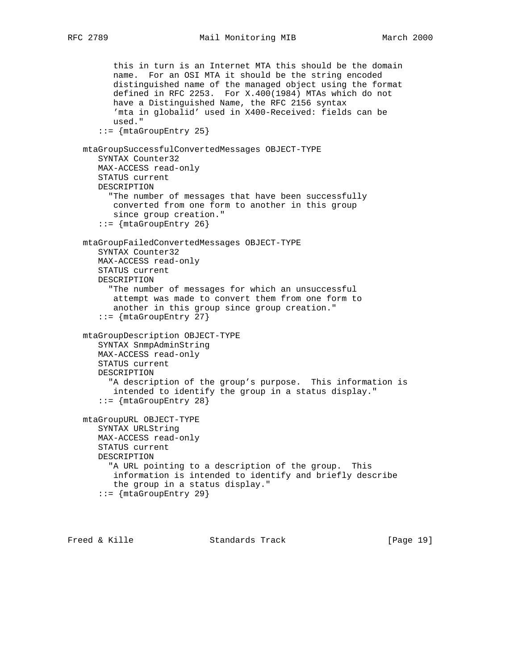```
 this in turn is an Internet MTA this should be the domain
       name. For an OSI MTA it should be the string encoded
       distinguished name of the managed object using the format
       defined in RFC 2253. For X.400(1984) MTAs which do not
       have a Distinguished Name, the RFC 2156 syntax
       'mta in globalid' used in X400-Received: fields can be
       used."
    ::= {mtaGroupEntry 25}
 mtaGroupSuccessfulConvertedMessages OBJECT-TYPE
    SYNTAX Counter32
   MAX-ACCESS read-only
    STATUS current
   DESCRIPTION
      "The number of messages that have been successfully
      converted from one form to another in this group
      since group creation."
    ::= {mtaGroupEntry 26}
 mtaGroupFailedConvertedMessages OBJECT-TYPE
    SYNTAX Counter32
   MAX-ACCESS read-only
   STATUS current
   DESCRIPTION
      "The number of messages for which an unsuccessful
       attempt was made to convert them from one form to
       another in this group since group creation."
    ::= {mtaGroupEntry 27}
 mtaGroupDescription OBJECT-TYPE
    SYNTAX SnmpAdminString
   MAX-ACCESS read-only
   STATUS current
    DESCRIPTION
      "A description of the group's purpose. This information is
      intended to identify the group in a status display."
    ::= {mtaGroupEntry 28}
 mtaGroupURL OBJECT-TYPE
    SYNTAX URLString
   MAX-ACCESS read-only
    STATUS current
   DESCRIPTION
      "A URL pointing to a description of the group. This
      information is intended to identify and briefly describe
      the group in a status display."
    ::= {mtaGroupEntry 29}
```
Freed & Kille **Standards Track** [Page 19]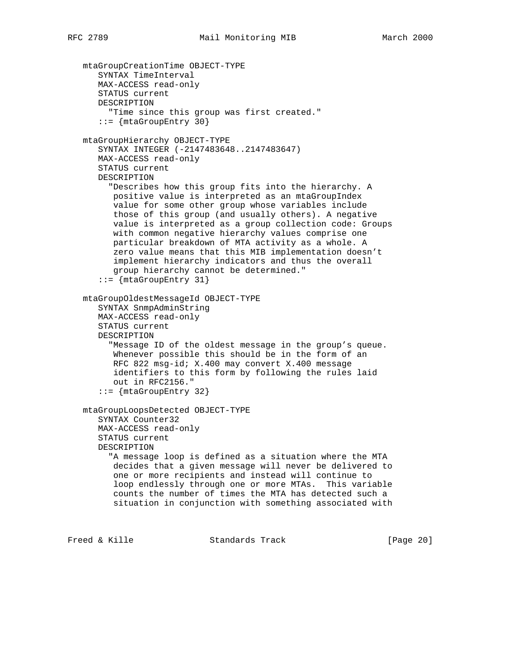```
 mtaGroupCreationTime OBJECT-TYPE
    SYNTAX TimeInterval
   MAX-ACCESS read-only
    STATUS current
    DESCRIPTION
      "Time since this group was first created."
    ::= {mtaGroupEntry 30}
 mtaGroupHierarchy OBJECT-TYPE
    SYNTAX INTEGER (-2147483648..2147483647)
   MAX-ACCESS read-only
    STATUS current
    DESCRIPTION
      "Describes how this group fits into the hierarchy. A
       positive value is interpreted as an mtaGroupIndex
       value for some other group whose variables include
       those of this group (and usually others). A negative
       value is interpreted as a group collection code: Groups
       with common negative hierarchy values comprise one
       particular breakdown of MTA activity as a whole. A
      zero value means that this MIB implementation doesn't
      implement hierarchy indicators and thus the overall
      group hierarchy cannot be determined."
    ::= {mtaGroupEntry 31}
 mtaGroupOldestMessageId OBJECT-TYPE
    SYNTAX SnmpAdminString
    MAX-ACCESS read-only
    STATUS current
   DESCRIPTION
      "Message ID of the oldest message in the group's queue.
      Whenever possible this should be in the form of an
      RFC 822 msg-id; X.400 may convert X.400 message
       identifiers to this form by following the rules laid
       out in RFC2156."
    ::= {mtaGroupEntry 32}
 mtaGroupLoopsDetected OBJECT-TYPE
    SYNTAX Counter32
    MAX-ACCESS read-only
    STATUS current
    DESCRIPTION
      "A message loop is defined as a situation where the MTA
       decides that a given message will never be delivered to
       one or more recipients and instead will continue to
       loop endlessly through one or more MTAs. This variable
       counts the number of times the MTA has detected such a
       situation in conjunction with something associated with
```
Freed & Kille Standards Track [Page 20]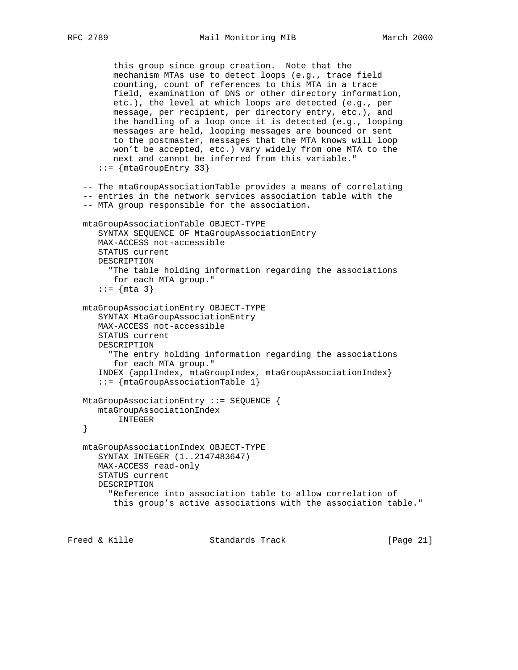```
 this group since group creation. Note that the
       mechanism MTAs use to detect loops (e.g., trace field
       counting, count of references to this MTA in a trace
       field, examination of DNS or other directory information,
       etc.), the level at which loops are detected (e.g., per
       message, per recipient, per directory entry, etc.), and
       the handling of a loop once it is detected (e.g., looping
       messages are held, looping messages are bounced or sent
       to the postmaster, messages that the MTA knows will loop
       won't be accepted, etc.) vary widely from one MTA to the
       next and cannot be inferred from this variable."
    ::= {mtaGroupEntry 33}
 -- The mtaGroupAssociationTable provides a means of correlating
 -- entries in the network services association table with the
 -- MTA group responsible for the association.
 mtaGroupAssociationTable OBJECT-TYPE
    SYNTAX SEQUENCE OF MtaGroupAssociationEntry
    MAX-ACCESS not-accessible
    STATUS current
    DESCRIPTION
      "The table holding information regarding the associations
       for each MTA group."
   ::= {mta 3} mtaGroupAssociationEntry OBJECT-TYPE
    SYNTAX MtaGroupAssociationEntry
    MAX-ACCESS not-accessible
    STATUS current
    DESCRIPTION
      "The entry holding information regarding the associations
      for each MTA group."
    INDEX {applIndex, mtaGroupIndex, mtaGroupAssociationIndex}
    ::= {mtaGroupAssociationTable 1}
 MtaGroupAssociationEntry ::= SEQUENCE {
   mtaGroupAssociationIndex
       INTEGER
 }
 mtaGroupAssociationIndex OBJECT-TYPE
    SYNTAX INTEGER (1..2147483647)
    MAX-ACCESS read-only
    STATUS current
    DESCRIPTION
      "Reference into association table to allow correlation of
       this group's active associations with the association table."
```
Freed & Kille Standards Track [Page 21]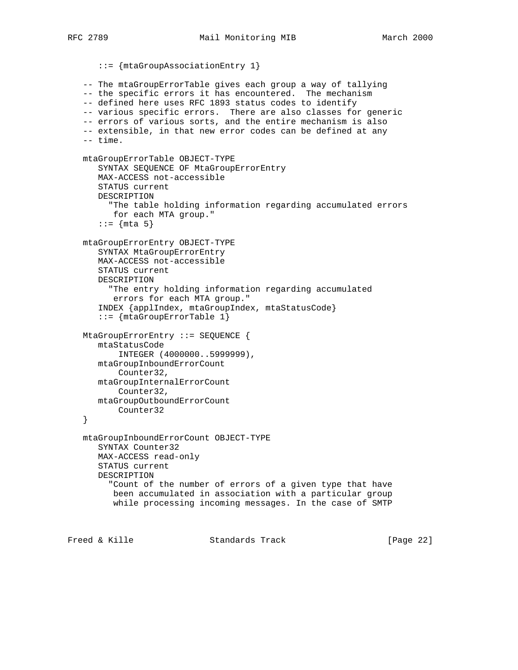::= {mtaGroupAssociationEntry 1} -- The mtaGroupErrorTable gives each group a way of tallying -- the specific errors it has encountered. The mechanism -- defined here uses RFC 1893 status codes to identify -- various specific errors. There are also classes for generic -- errors of various sorts, and the entire mechanism is also -- extensible, in that new error codes can be defined at any -- time. mtaGroupErrorTable OBJECT-TYPE SYNTAX SEQUENCE OF MtaGroupErrorEntry MAX-ACCESS not-accessible STATUS current DESCRIPTION "The table holding information regarding accumulated errors for each MTA group." ::=  $\{nta 5\}$  mtaGroupErrorEntry OBJECT-TYPE SYNTAX MtaGroupErrorEntry MAX-ACCESS not-accessible STATUS current DESCRIPTION "The entry holding information regarding accumulated errors for each MTA group." INDEX {applIndex, mtaGroupIndex, mtaStatusCode} ::= {mtaGroupErrorTable 1} MtaGroupErrorEntry ::= SEQUENCE { mtaStatusCode INTEGER (4000000..5999999), mtaGroupInboundErrorCount Counter32, mtaGroupInternalErrorCount Counter32, mtaGroupOutboundErrorCount Counter32 } mtaGroupInboundErrorCount OBJECT-TYPE SYNTAX Counter32 MAX-ACCESS read-only STATUS current DESCRIPTION "Count of the number of errors of a given type that have been accumulated in association with a particular group while processing incoming messages. In the case of SMTP Freed & Kille Standards Track [Page 22]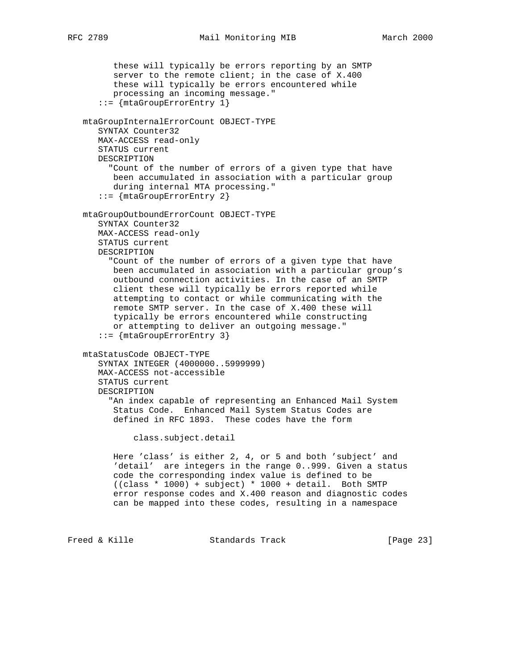these will typically be errors reporting by an SMTP server to the remote client; in the case of X.400 these will typically be errors encountered while processing an incoming message." ::= {mtaGroupErrorEntry 1} mtaGroupInternalErrorCount OBJECT-TYPE SYNTAX Counter32 MAX-ACCESS read-only STATUS current DESCRIPTION "Count of the number of errors of a given type that have been accumulated in association with a particular group during internal MTA processing." ::= {mtaGroupErrorEntry 2} mtaGroupOutboundErrorCount OBJECT-TYPE SYNTAX Counter32 MAX-ACCESS read-only STATUS current DESCRIPTION "Count of the number of errors of a given type that have been accumulated in association with a particular group's outbound connection activities. In the case of an SMTP client these will typically be errors reported while attempting to contact or while communicating with the remote SMTP server. In the case of X.400 these will typically be errors encountered while constructing or attempting to deliver an outgoing message." ::= {mtaGroupErrorEntry 3} mtaStatusCode OBJECT-TYPE SYNTAX INTEGER (4000000..5999999) MAX-ACCESS not-accessible STATUS current DESCRIPTION "An index capable of representing an Enhanced Mail System Status Code. Enhanced Mail System Status Codes are defined in RFC 1893. These codes have the form class.subject.detail Here 'class' is either 2, 4, or 5 and both 'subject' and 'detail' are integers in the range 0..999. Given a status code the corresponding index value is defined to be ((class \* 1000) + subject) \* 1000 + detail. Both SMTP error response codes and X.400 reason and diagnostic codes can be mapped into these codes, resulting in a namespace

Freed & Kille Standards Track [Page 23]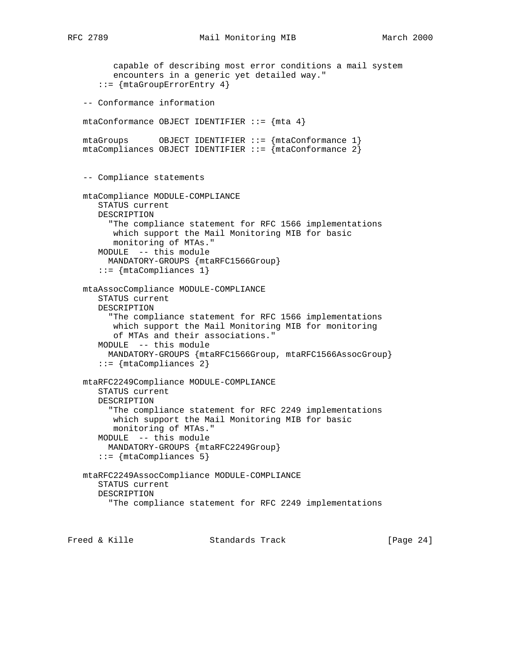```
 capable of describing most error conditions a mail system
       encounters in a generic yet detailed way."
    ::= {mtaGroupErrorEntry 4}
 -- Conformance information
mtaConformance OBJECT IDENTIFIER ::= \{ mta 4 \}mtaGroups OBJECT IDENTIFIER :: = \{mtaConformance 1\} mtaCompliances OBJECT IDENTIFIER ::= {mtaConformance 2}
 -- Compliance statements
 mtaCompliance MODULE-COMPLIANCE
    STATUS current
    DESCRIPTION
      "The compliance statement for RFC 1566 implementations
       which support the Mail Monitoring MIB for basic
       monitoring of MTAs."
    MODULE -- this module
      MANDATORY-GROUPS {mtaRFC1566Group}
    ::= {mtaCompliances 1}
 mtaAssocCompliance MODULE-COMPLIANCE
    STATUS current
    DESCRIPTION
      "The compliance statement for RFC 1566 implementations
       which support the Mail Monitoring MIB for monitoring
       of MTAs and their associations."
    MODULE -- this module
     MANDATORY-GROUPS { mtaRFC1566Group, mtaRFC1566AssocGroup }
    ::= {mtaCompliances 2}
 mtaRFC2249Compliance MODULE-COMPLIANCE
    STATUS current
    DESCRIPTION
      "The compliance statement for RFC 2249 implementations
       which support the Mail Monitoring MIB for basic
       monitoring of MTAs."
    MODULE -- this module
      MANDATORY-GROUPS {mtaRFC2249Group}
    ::= {mtaCompliances 5}
 mtaRFC2249AssocCompliance MODULE-COMPLIANCE
    STATUS current
    DESCRIPTION
      "The compliance statement for RFC 2249 implementations
```
Freed & Kille **Standards Track** [Page 24]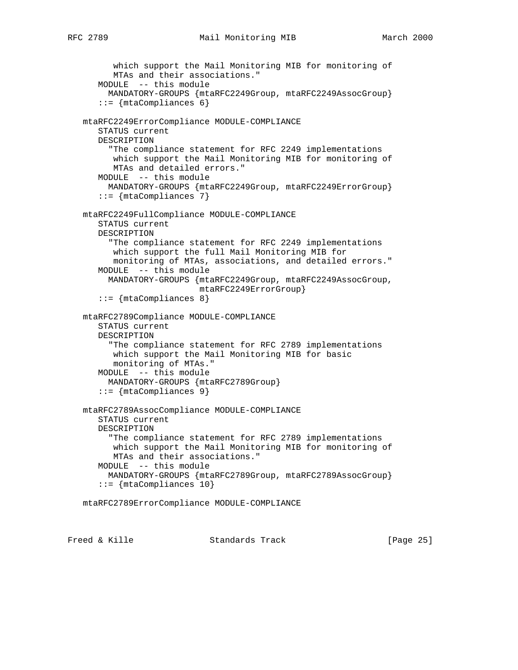```
 which support the Mail Monitoring MIB for monitoring of
       MTAs and their associations."
    MODULE -- this module
      MANDATORY-GROUPS {mtaRFC2249Group, mtaRFC2249AssocGroup}
    ::= \{ \text{mtaCompliances 6} \} mtaRFC2249ErrorCompliance MODULE-COMPLIANCE
    STATUS current
    DESCRIPTION
      "The compliance statement for RFC 2249 implementations
       which support the Mail Monitoring MIB for monitoring of
       MTAs and detailed errors."
    MODULE -- this module
      MANDATORY-GROUPS {mtaRFC2249Group, mtaRFC2249ErrorGroup}
   ::= {mtaCompliances 7}
 mtaRFC2249FullCompliance MODULE-COMPLIANCE
    STATUS current
    DESCRIPTION
      "The compliance statement for RFC 2249 implementations
       which support the full Mail Monitoring MIB for
       monitoring of MTAs, associations, and detailed errors."
    MODULE -- this module
      MANDATORY-GROUPS {mtaRFC2249Group, mtaRFC2249AssocGroup,
                        mtaRFC2249ErrorGroup}
    ::= {mtaCompliances 8}
 mtaRFC2789Compliance MODULE-COMPLIANCE
    STATUS current
    DESCRIPTION
      "The compliance statement for RFC 2789 implementations
      which support the Mail Monitoring MIB for basic
       monitoring of MTAs."
    MODULE -- this module
      MANDATORY-GROUPS {mtaRFC2789Group}
    ::= {mtaCompliances 9}
 mtaRFC2789AssocCompliance MODULE-COMPLIANCE
    STATUS current
    DESCRIPTION
      "The compliance statement for RFC 2789 implementations
       which support the Mail Monitoring MIB for monitoring of
       MTAs and their associations."
    MODULE -- this module
      MANDATORY-GROUPS {mtaRFC2789Group, mtaRFC2789AssocGroup}
    ::= {mtaCompliances 10}
 mtaRFC2789ErrorCompliance MODULE-COMPLIANCE
```
Freed & Kille Standards Track [Page 25]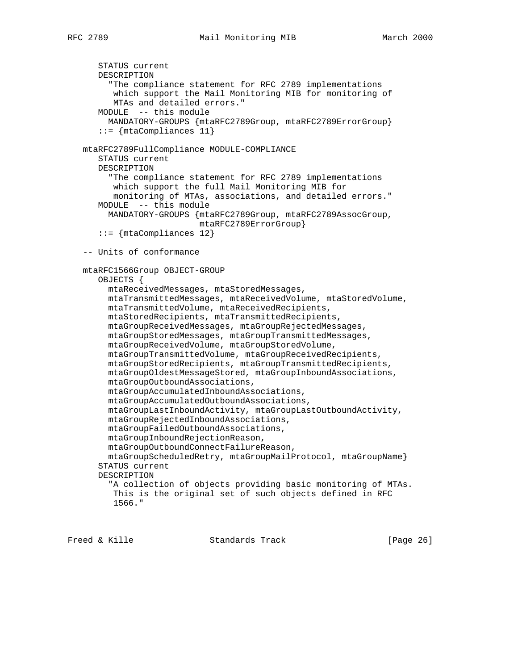```
 STATUS current
    DESCRIPTION
      "The compliance statement for RFC 2789 implementations
       which support the Mail Monitoring MIB for monitoring of
       MTAs and detailed errors."
    MODULE -- this module
      MANDATORY-GROUPS {mtaRFC2789Group, mtaRFC2789ErrorGroup}
    ::= {mtaCompliances 11}
 mtaRFC2789FullCompliance MODULE-COMPLIANCE
    STATUS current
    DESCRIPTION
      "The compliance statement for RFC 2789 implementations
       which support the full Mail Monitoring MIB for
       monitoring of MTAs, associations, and detailed errors."
    MODULE -- this module
      MANDATORY-GROUPS {mtaRFC2789Group, mtaRFC2789AssocGroup,
                        mtaRFC2789ErrorGroup}
    ::= {mtaCompliances 12}
 -- Units of conformance
 mtaRFC1566Group OBJECT-GROUP
    OBJECTS {
      mtaReceivedMessages, mtaStoredMessages,
      mtaTransmittedMessages, mtaReceivedVolume, mtaStoredVolume,
      mtaTransmittedVolume, mtaReceivedRecipients,
      mtaStoredRecipients, mtaTransmittedRecipients,
      mtaGroupReceivedMessages, mtaGroupRejectedMessages,
      mtaGroupStoredMessages, mtaGroupTransmittedMessages,
      mtaGroupReceivedVolume, mtaGroupStoredVolume,
      mtaGroupTransmittedVolume, mtaGroupReceivedRecipients,
      mtaGroupStoredRecipients, mtaGroupTransmittedRecipients,
      mtaGroupOldestMessageStored, mtaGroupInboundAssociations,
      mtaGroupOutboundAssociations,
      mtaGroupAccumulatedInboundAssociations,
      mtaGroupAccumulatedOutboundAssociations,
      mtaGroupLastInboundActivity, mtaGroupLastOutboundActivity,
      mtaGroupRejectedInboundAssociations,
      mtaGroupFailedOutboundAssociations,
      mtaGroupInboundRejectionReason,
      mtaGroupOutboundConnectFailureReason,
      mtaGroupScheduledRetry, mtaGroupMailProtocol, mtaGroupName}
    STATUS current
    DESCRIPTION
      "A collection of objects providing basic monitoring of MTAs.
       This is the original set of such objects defined in RFC
       1566."
```
Freed & Kille Standards Track [Page 26]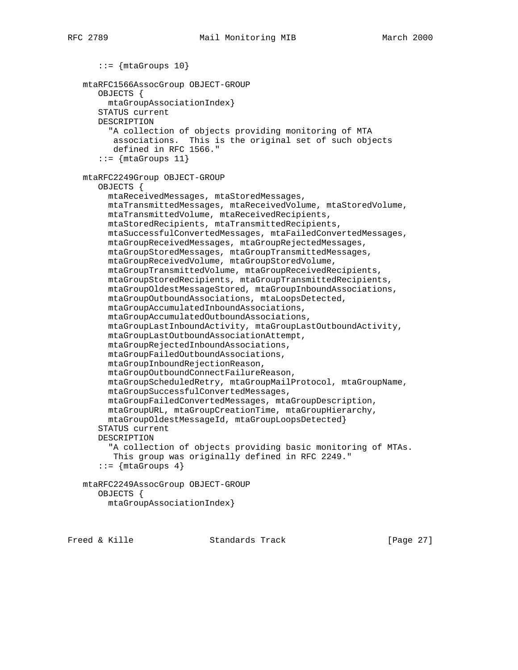```
::= {mtaGroups 10}
 mtaRFC1566AssocGroup OBJECT-GROUP
    OBJECTS {
     mtaGroupAssociationIndex}
    STATUS current
    DESCRIPTION
      "A collection of objects providing monitoring of MTA
       associations. This is the original set of such objects
       defined in RFC 1566."
   ::= {mtaGroups 11}
 mtaRFC2249Group OBJECT-GROUP
    OBJECTS {
      mtaReceivedMessages, mtaStoredMessages,
      mtaTransmittedMessages, mtaReceivedVolume, mtaStoredVolume,
      mtaTransmittedVolume, mtaReceivedRecipients,
      mtaStoredRecipients, mtaTransmittedRecipients,
      mtaSuccessfulConvertedMessages, mtaFailedConvertedMessages,
      mtaGroupReceivedMessages, mtaGroupRejectedMessages,
      mtaGroupStoredMessages, mtaGroupTransmittedMessages,
      mtaGroupReceivedVolume, mtaGroupStoredVolume,
      mtaGroupTransmittedVolume, mtaGroupReceivedRecipients,
      mtaGroupStoredRecipients, mtaGroupTransmittedRecipients,
      mtaGroupOldestMessageStored, mtaGroupInboundAssociations,
      mtaGroupOutboundAssociations, mtaLoopsDetected,
      mtaGroupAccumulatedInboundAssociations,
      mtaGroupAccumulatedOutboundAssociations,
      mtaGroupLastInboundActivity, mtaGroupLastOutboundActivity,
      mtaGroupLastOutboundAssociationAttempt,
      mtaGroupRejectedInboundAssociations,
      mtaGroupFailedOutboundAssociations,
      mtaGroupInboundRejectionReason,
      mtaGroupOutboundConnectFailureReason,
      mtaGroupScheduledRetry, mtaGroupMailProtocol, mtaGroupName,
      mtaGroupSuccessfulConvertedMessages,
      mtaGroupFailedConvertedMessages, mtaGroupDescription,
      mtaGroupURL, mtaGroupCreationTime, mtaGroupHierarchy,
      mtaGroupOldestMessageId, mtaGroupLoopsDetected}
    STATUS current
    DESCRIPTION
      "A collection of objects providing basic monitoring of MTAs.
       This group was originally defined in RFC 2249."
    ::= \{ \text{mtaGroups} \; 4 \} mtaRFC2249AssocGroup OBJECT-GROUP
    OBJECTS {
      mtaGroupAssociationIndex}
```
Freed & Kille Standards Track [Page 27]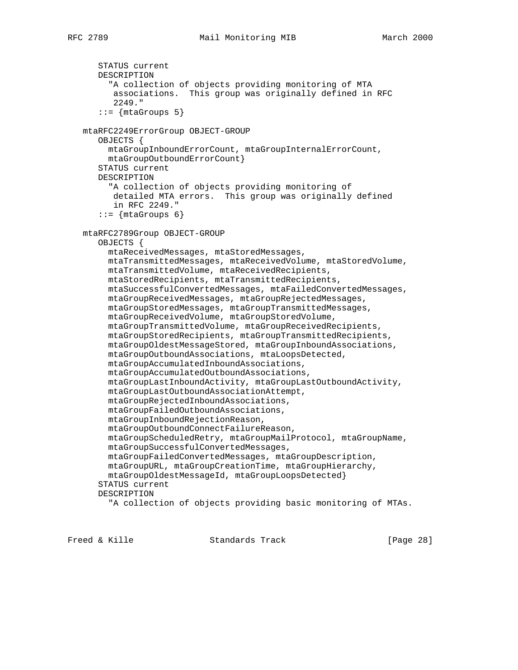```
 STATUS current
    DESCRIPTION
      "A collection of objects providing monitoring of MTA
       associations. This group was originally defined in RFC
       2249."
   ::= {mtaGroups 5}
 mtaRFC2249ErrorGroup OBJECT-GROUP
    OBJECTS {
      mtaGroupInboundErrorCount, mtaGroupInternalErrorCount,
      mtaGroupOutboundErrorCount}
    STATUS current
    DESCRIPTION
      "A collection of objects providing monitoring of
       detailed MTA errors. This group was originally defined
       in RFC 2249."
   ::= {mtaGroups 6}
 mtaRFC2789Group OBJECT-GROUP
    OBJECTS {
      mtaReceivedMessages, mtaStoredMessages,
      mtaTransmittedMessages, mtaReceivedVolume, mtaStoredVolume,
      mtaTransmittedVolume, mtaReceivedRecipients,
      mtaStoredRecipients, mtaTransmittedRecipients,
      mtaSuccessfulConvertedMessages, mtaFailedConvertedMessages,
      mtaGroupReceivedMessages, mtaGroupRejectedMessages,
      mtaGroupStoredMessages, mtaGroupTransmittedMessages,
      mtaGroupReceivedVolume, mtaGroupStoredVolume,
      mtaGroupTransmittedVolume, mtaGroupReceivedRecipients,
      mtaGroupStoredRecipients, mtaGroupTransmittedRecipients,
      mtaGroupOldestMessageStored, mtaGroupInboundAssociations,
      mtaGroupOutboundAssociations, mtaLoopsDetected,
      mtaGroupAccumulatedInboundAssociations,
      mtaGroupAccumulatedOutboundAssociations,
      mtaGroupLastInboundActivity, mtaGroupLastOutboundActivity,
      mtaGroupLastOutboundAssociationAttempt,
      mtaGroupRejectedInboundAssociations,
      mtaGroupFailedOutboundAssociations,
      mtaGroupInboundRejectionReason,
      mtaGroupOutboundConnectFailureReason,
      mtaGroupScheduledRetry, mtaGroupMailProtocol, mtaGroupName,
      mtaGroupSuccessfulConvertedMessages,
      mtaGroupFailedConvertedMessages, mtaGroupDescription,
      mtaGroupURL, mtaGroupCreationTime, mtaGroupHierarchy,
      mtaGroupOldestMessageId, mtaGroupLoopsDetected}
    STATUS current
    DESCRIPTION
      "A collection of objects providing basic monitoring of MTAs.
```
Freed & Kille Standards Track [Page 28]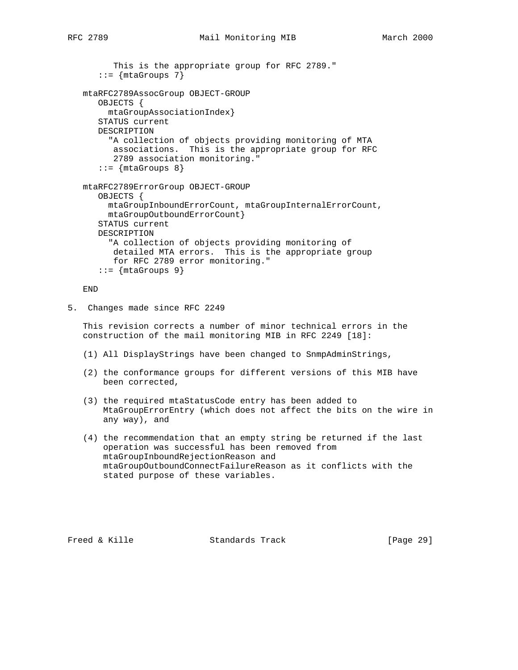```
 This is the appropriate group for RFC 2789."
   ::= {mtaGroups 7}
 mtaRFC2789AssocGroup OBJECT-GROUP
    OBJECTS {
      mtaGroupAssociationIndex}
    STATUS current
    DESCRIPTION
      "A collection of objects providing monitoring of MTA
      associations. This is the appropriate group for RFC
       2789 association monitoring."
   ::= \{mtaGroups 8\} mtaRFC2789ErrorGroup OBJECT-GROUP
    OBJECTS {
      mtaGroupInboundErrorCount, mtaGroupInternalErrorCount,
      mtaGroupOutboundErrorCount}
    STATUS current
    DESCRIPTION
      "A collection of objects providing monitoring of
       detailed MTA errors. This is the appropriate group
       for RFC 2789 error monitoring."
```
END

5. Changes made since RFC 2249

 $::= \{ \text{mtaGroups} \; 9 \}$ 

 This revision corrects a number of minor technical errors in the construction of the mail monitoring MIB in RFC 2249 [18]:

- (1) All DisplayStrings have been changed to SnmpAdminStrings,
- (2) the conformance groups for different versions of this MIB have been corrected,
- (3) the required mtaStatusCode entry has been added to MtaGroupErrorEntry (which does not affect the bits on the wire in any way), and
- (4) the recommendation that an empty string be returned if the last operation was successful has been removed from mtaGroupInboundRejectionReason and mtaGroupOutboundConnectFailureReason as it conflicts with the stated purpose of these variables.

Freed & Kille Standards Track [Page 29]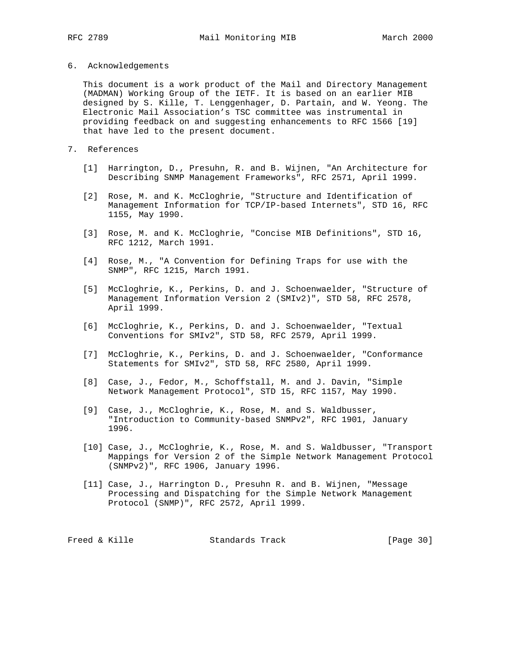- 
- 6. Acknowledgements

 This document is a work product of the Mail and Directory Management (MADMAN) Working Group of the IETF. It is based on an earlier MIB designed by S. Kille, T. Lenggenhager, D. Partain, and W. Yeong. The Electronic Mail Association's TSC committee was instrumental in providing feedback on and suggesting enhancements to RFC 1566 [19] that have led to the present document.

- 7. References
	- [1] Harrington, D., Presuhn, R. and B. Wijnen, "An Architecture for Describing SNMP Management Frameworks", RFC 2571, April 1999.
	- [2] Rose, M. and K. McCloghrie, "Structure and Identification of Management Information for TCP/IP-based Internets", STD 16, RFC 1155, May 1990.
	- [3] Rose, M. and K. McCloghrie, "Concise MIB Definitions", STD 16, RFC 1212, March 1991.
	- [4] Rose, M., "A Convention for Defining Traps for use with the SNMP", RFC 1215, March 1991.
	- [5] McCloghrie, K., Perkins, D. and J. Schoenwaelder, "Structure of Management Information Version 2 (SMIv2)", STD 58, RFC 2578, April 1999.
	- [6] McCloghrie, K., Perkins, D. and J. Schoenwaelder, "Textual Conventions for SMIv2", STD 58, RFC 2579, April 1999.
	- [7] McCloghrie, K., Perkins, D. and J. Schoenwaelder, "Conformance Statements for SMIv2", STD 58, RFC 2580, April 1999.
	- [8] Case, J., Fedor, M., Schoffstall, M. and J. Davin, "Simple Network Management Protocol", STD 15, RFC 1157, May 1990.
	- [9] Case, J., McCloghrie, K., Rose, M. and S. Waldbusser, "Introduction to Community-based SNMPv2", RFC 1901, January 1996.
	- [10] Case, J., McCloghrie, K., Rose, M. and S. Waldbusser, "Transport Mappings for Version 2 of the Simple Network Management Protocol (SNMPv2)", RFC 1906, January 1996.
	- [11] Case, J., Harrington D., Presuhn R. and B. Wijnen, "Message Processing and Dispatching for the Simple Network Management Protocol (SNMP)", RFC 2572, April 1999.

Freed & Kille **Standards Track** [Page 30]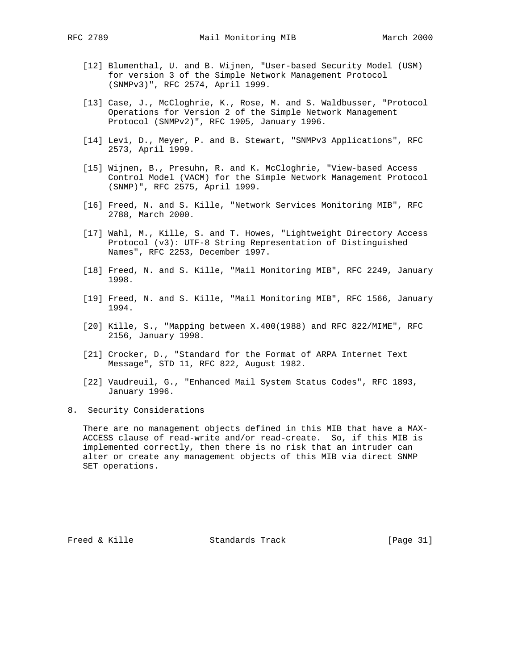- [12] Blumenthal, U. and B. Wijnen, "User-based Security Model (USM) for version 3 of the Simple Network Management Protocol (SNMPv3)", RFC 2574, April 1999.
- [13] Case, J., McCloghrie, K., Rose, M. and S. Waldbusser, "Protocol Operations for Version 2 of the Simple Network Management Protocol (SNMPv2)", RFC 1905, January 1996.
- [14] Levi, D., Meyer, P. and B. Stewart, "SNMPv3 Applications", RFC 2573, April 1999.
- [15] Wijnen, B., Presuhn, R. and K. McCloghrie, "View-based Access Control Model (VACM) for the Simple Network Management Protocol (SNMP)", RFC 2575, April 1999.
- [16] Freed, N. and S. Kille, "Network Services Monitoring MIB", RFC 2788, March 2000.
- [17] Wahl, M., Kille, S. and T. Howes, "Lightweight Directory Access Protocol (v3): UTF-8 String Representation of Distinguished Names", RFC 2253, December 1997.
- [18] Freed, N. and S. Kille, "Mail Monitoring MIB", RFC 2249, January 1998.
- [19] Freed, N. and S. Kille, "Mail Monitoring MIB", RFC 1566, January 1994.
- [20] Kille, S., "Mapping between X.400(1988) and RFC 822/MIME", RFC 2156, January 1998.
- [21] Crocker, D., "Standard for the Format of ARPA Internet Text Message", STD 11, RFC 822, August 1982.
- [22] Vaudreuil, G., "Enhanced Mail System Status Codes", RFC 1893, January 1996.
- 8. Security Considerations

 There are no management objects defined in this MIB that have a MAX- ACCESS clause of read-write and/or read-create. So, if this MIB is implemented correctly, then there is no risk that an intruder can alter or create any management objects of this MIB via direct SNMP SET operations.

Freed & Kille **Standards Track** [Page 31]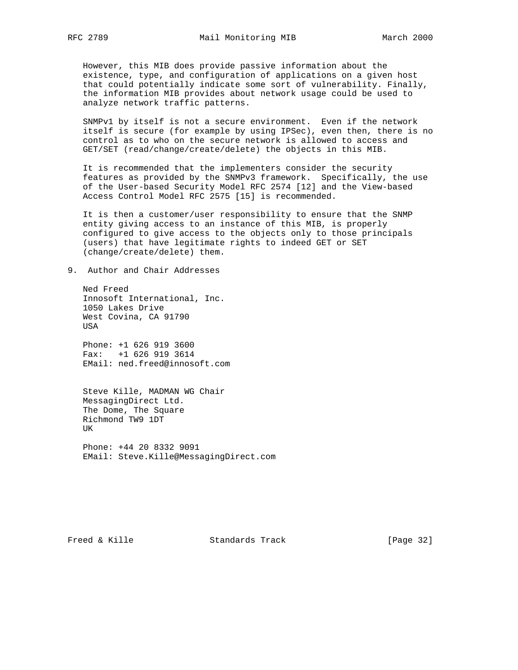However, this MIB does provide passive information about the existence, type, and configuration of applications on a given host that could potentially indicate some sort of vulnerability. Finally, the information MIB provides about network usage could be used to analyze network traffic patterns.

 SNMPv1 by itself is not a secure environment. Even if the network itself is secure (for example by using IPSec), even then, there is no control as to who on the secure network is allowed to access and GET/SET (read/change/create/delete) the objects in this MIB.

 It is recommended that the implementers consider the security features as provided by the SNMPv3 framework. Specifically, the use of the User-based Security Model RFC 2574 [12] and the View-based Access Control Model RFC 2575 [15] is recommended.

 It is then a customer/user responsibility to ensure that the SNMP entity giving access to an instance of this MIB, is properly configured to give access to the objects only to those principals (users) that have legitimate rights to indeed GET or SET (change/create/delete) them.

## 9. Author and Chair Addresses

 Ned Freed Innosoft International, Inc. 1050 Lakes Drive West Covina, CA 91790 USA

 Phone: +1 626 919 3600 Fax: +1 626 919 3614 EMail: ned.freed@innosoft.com

 Steve Kille, MADMAN WG Chair MessagingDirect Ltd. The Dome, The Square Richmond TW9 1DT UK

 Phone: +44 20 8332 9091 EMail: Steve.Kille@MessagingDirect.com

Freed & Kille **Standards Track** [Page 32]